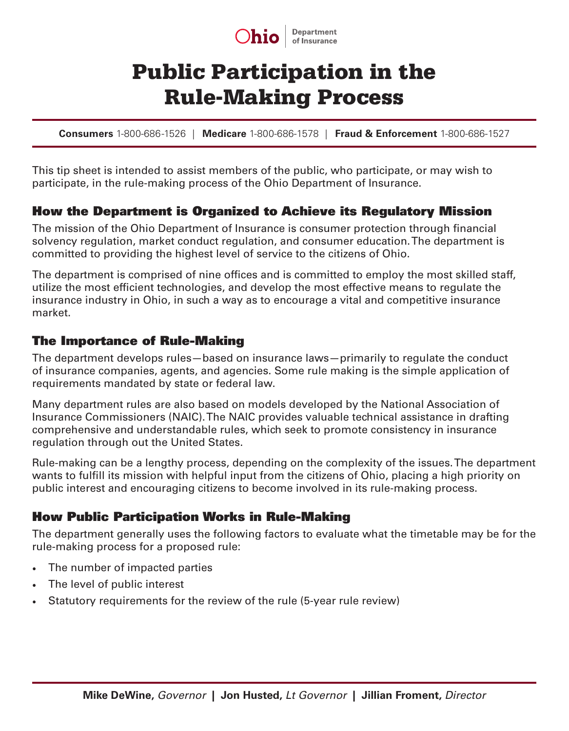

# Public Participation in the Rule-Making Process

**Consumers** 1-800-686-1526 | **Medicare** 1-800-686-1578 | **Fraud & Enforcement** 1-800-686-1527

This tip sheet is intended to assist members of the public, who participate, or may wish to participate, in the rule-making process of the Ohio Department of Insurance.

## How the Department is Organized to Achieve its Regulatory Mission

The mission of the Ohio Department of Insurance is consumer protection through financial solvency regulation, market conduct regulation, and consumer education. The department is committed to providing the highest level of service to the citizens of Ohio.

The department is comprised of nine offices and is committed to employ the most skilled staff, utilize the most efficient technologies, and develop the most effective means to regulate the insurance industry in Ohio, in such a way as to encourage a vital and competitive insurance market.

#### The Importance of Rule-Making

The department develops rules—based on insurance laws—primarily to regulate the conduct of insurance companies, agents, and agencies. Some rule making is the simple application of requirements mandated by state or federal law.

Many department rules are also based on models developed by the National Association of Insurance Commissioners (NAIC). The NAIC provides valuable technical assistance in drafting comprehensive and understandable rules, which seek to promote consistency in insurance regulation through out the United States.

Rule-making can be a lengthy process, depending on the complexity of the issues. The department wants to fulfill its mission with helpful input from the citizens of Ohio, placing a high priority on public interest and encouraging citizens to become involved in its rule-making process.

## How Public Participation Works in Rule-Making

The department generally uses the following factors to evaluate what the timetable may be for the rule-making process for a proposed rule:

- The number of impacted parties
- The level of public interest
- Statutory requirements for the review of the rule (5-year rule review)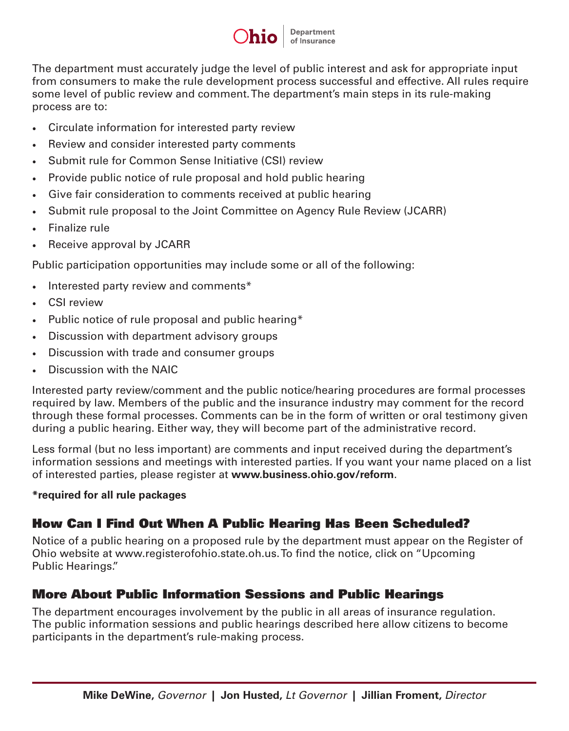

The department must accurately judge the level of public interest and ask for appropriate input from consumers to make the rule development process successful and effective. All rules require some level of public review and comment. The department's main steps in its rule-making process are to:

- Circulate information for interested party review
- Review and consider interested party comments
- Submit rule for Common Sense Initiative (CSI) review
- Provide public notice of rule proposal and hold public hearing
- Give fair consideration to comments received at public hearing
- Submit rule proposal to the Joint Committee on Agency Rule Review (JCARR)
- Finalize rule
- Receive approval by JCARR

Public participation opportunities may include some or all of the following:

- Interested party review and comments\*
- CSI review
- Public notice of rule proposal and public hearing\*
- Discussion with department advisory groups
- Discussion with trade and consumer groups
- Discussion with the NAIC

Interested party review/comment and the public notice/hearing procedures are formal processes required by law. Members of the public and the insurance industry may comment for the record through these formal processes. Comments can be in the form of written or oral testimony given during a public hearing. Either way, they will become part of the administrative record.

Less formal (but no less important) are comments and input received during the department's information sessions and meetings with interested parties. If you want your name placed on a list of interested parties, please register at **www.business.ohio.gov/reform**.

#### **\*required for all rule packages**

# How Can I Find Out When A Public Hearing Has Been Scheduled?

Notice of a public hearing on a proposed rule by the department must appear on the Register of Ohio website at www.registerofohio.state.oh.us. To find the notice, click on "Upcoming Public Hearings."

# More About Public Information Sessions and Public Hearings

The department encourages involvement by the public in all areas of insurance regulation. The public information sessions and public hearings described here allow citizens to become participants in the department's rule-making process.